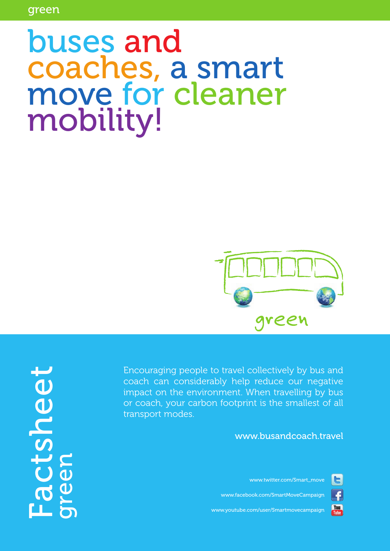# buses and coaches, a smart move for cleaner mobility!



Factsheet tsneet a<br>Q

Encouraging people to travel collectively by bus and coach can considerably help reduce our negative impact on the environment. When travelling by bus or coach, your carbon footprint is the smallest of all transport modes.

[www.busandcoach.travel](http://www.busandcoach.travel)

[www.twitter.com/Smart\\_move](http://www.twitter.com/Smart_move)



**You**<br>Tube

[www.facebook.com/SmartMoveCampaign](http://www.facebook.com/SmartMoveCampaign)

[www.youtube.com/user/Smartmovecampaign](http://www.youtube.com/Smartmovecampaign)